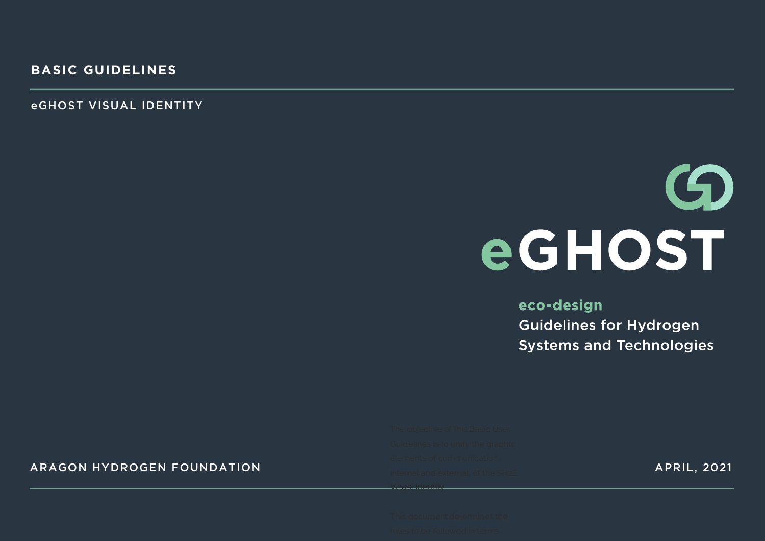eGHOST VISUAL IDENTITY

# $\mathbf G$ eGHOST

#### eco-design **Guidelines for Hydrogen Systems and Technologies**

#### ARAGON HYDROGEN FOUNDATION APRIL, 2021 APRIL, 2021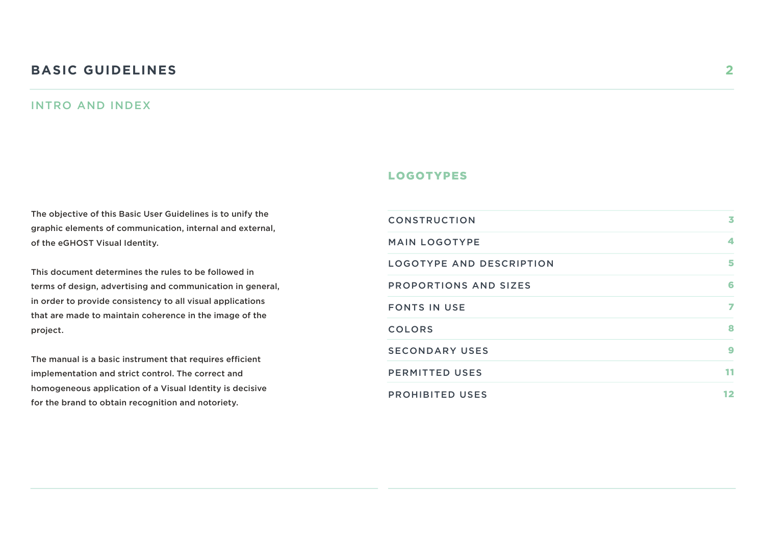#### **BASIC GUIDELINES 2**

#### INTRO AND INDEX

The objective of this Basic User Guidelines is to unify the graphic elements of communication, internal and external, of the eGHOST Visual Identity.

This document determines the rules to be followed in terms of design, advertising and communication in general, in order to provide consistency to all visual applications that are made to maintain coherence in the image of the project.

The manual is a basic instrument that requires efficient implementation and strict control. The correct and homogeneous application of a Visual Identity is decisive for the brand to obtain recognition and notoriety.

#### LOGOTYPES

| <b>CONSTRUCTION</b>             | 3  |
|---------------------------------|----|
| <b>MAIN LOGOTYPE</b>            | 4  |
| <b>LOGOTYPE AND DESCRIPTION</b> | 5  |
| <b>PROPORTIONS AND SIZES</b>    | 6  |
| <b>FONTS IN USE</b>             | 7  |
| <b>COLORS</b>                   | 8  |
| <b>SECONDARY USES</b>           | 9  |
| <b>PERMITTED USES</b>           | 11 |
| <b>PROHIBITED USES</b>          | 12 |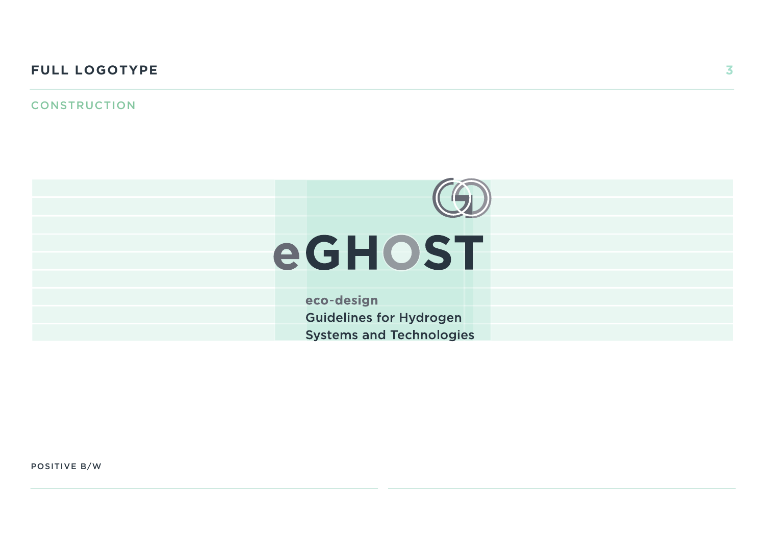#### **FULL LOGOTYPE 3**

#### **CONSTRUCTION**



eco-design **Guidelines for Hydrogen Systems and Technologies** 

POSITIVE B/W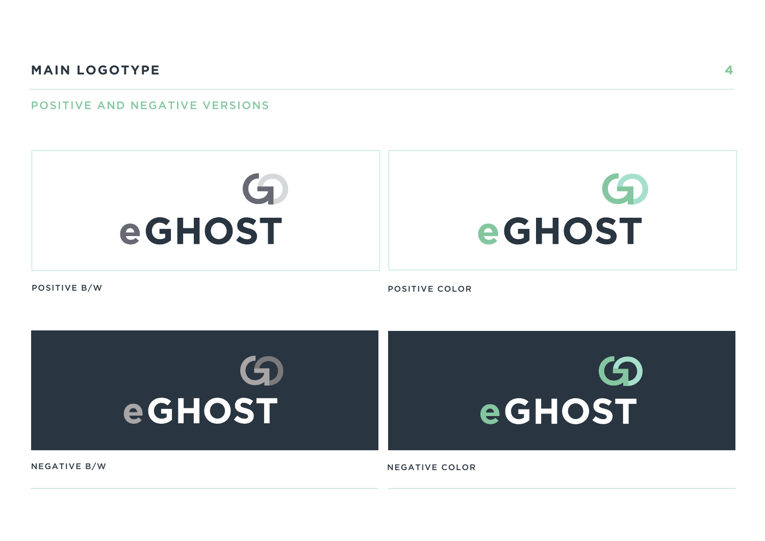#### POSITIVE AND NEGATIVE VERSIONS





**4**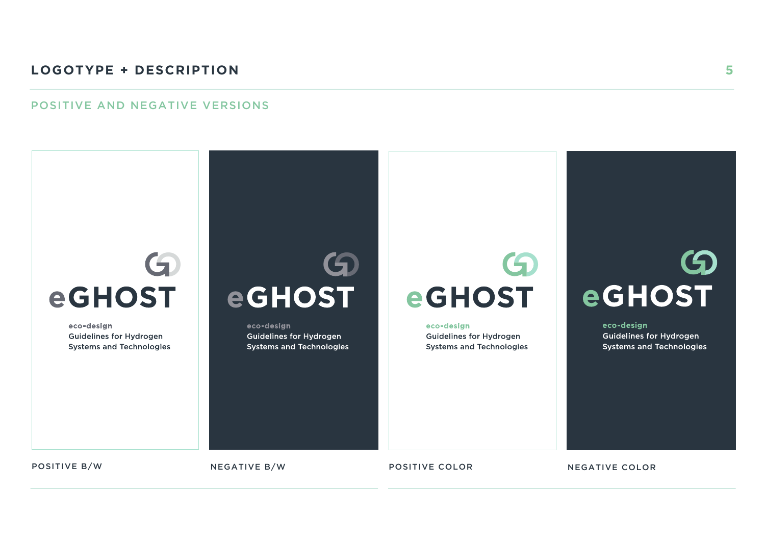#### **LOGOTYPE + DESCRIPTION**

#### POSITIVE AND NEGATIVE VERSIONS

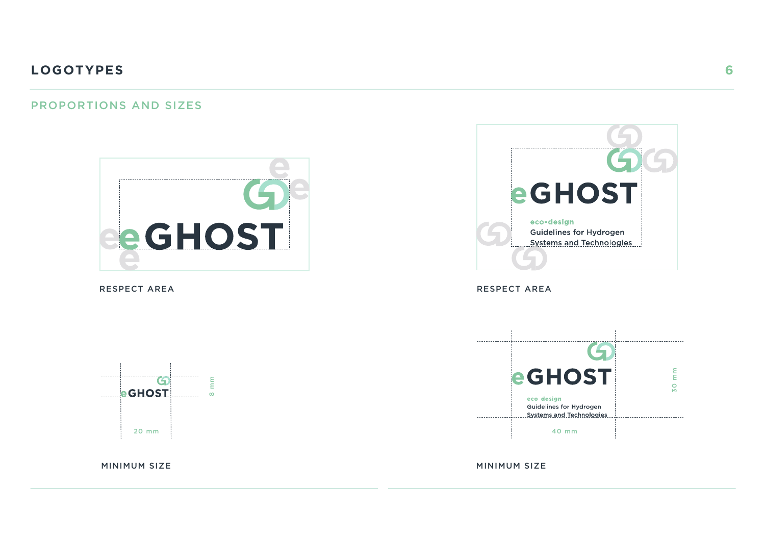#### PROPORTIONS AND SIZES





RESPECT AREA **RESPECT AREA** 



----------MINIMUM SIZE MINIMUM SIZE 8 mm 20 mm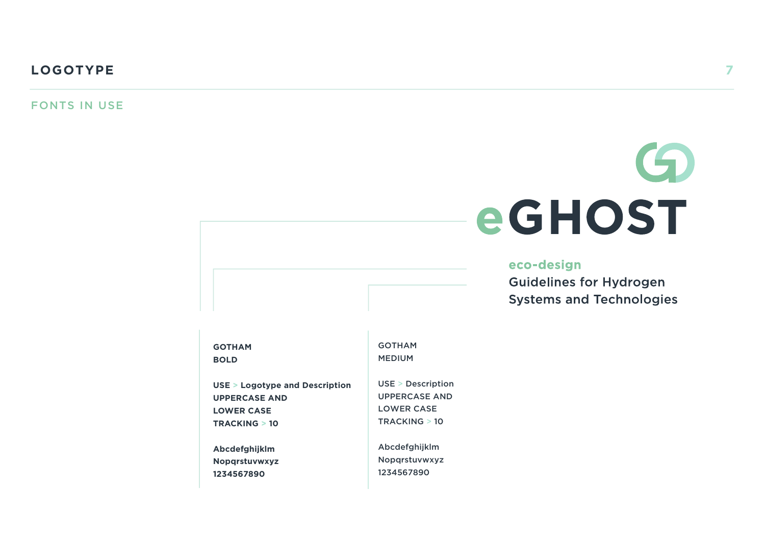FONTS IN USE

# $\bigodot$ eGHOST

#### eco-design

**Guidelines for Hydrogen Systems and Technologies** 

| <b>GOTHAM</b>                  | <b>GOTHAM</b>        |
|--------------------------------|----------------------|
| <b>BOLD</b>                    | <b>MEDIUM</b>        |
| USE > Logotype and Description | USE > Description    |
| <b>UPPERCASE AND</b>           | <b>UPPERCASE AND</b> |
| <b>LOWER CASE</b>              | <b>LOWER CASE</b>    |
| <b>TRACKING &gt; 10</b>        | TRACKING > 10        |
| Abcdefghijklm                  | Abcdefghijklm        |
| <b>Nopgrstuvwxyz</b>           | Nopgrstuvwxyz        |
| 1234567890                     | 1234567890           |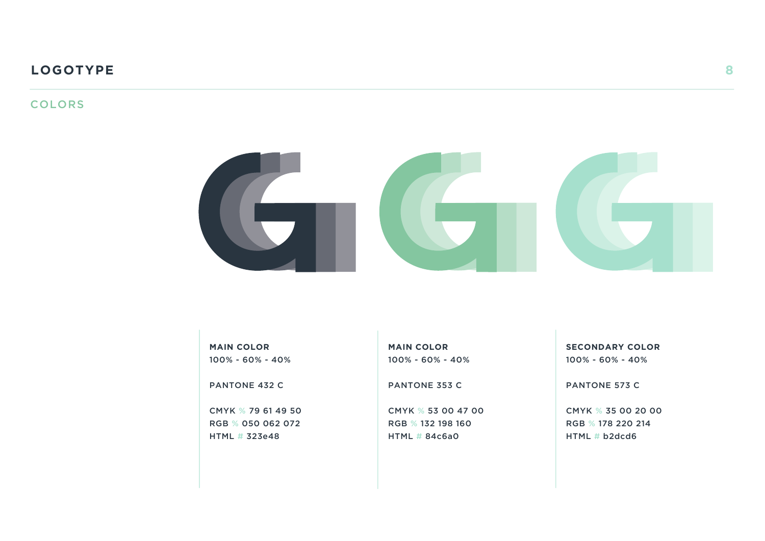#### **COLORS**



**MAIN COLOR** 100% - 60% - 40%

PANTONE 432 C

CMYK % 79 61 49 50 RGB % 050 062 072 HTML # 323e48

**MAIN COLOR** 100% - 60% - 40%

PANTONE 353 C

CMYK % 53 00 47 00 RGB % 132 198 160 HTML # 84c6a0

**SECONDARY COLOR** 100% - 60% - 40%

PANTONE 573 C

CMYK % 35 00 20 00 RGB % 178 220 214 HTML # b2dcd6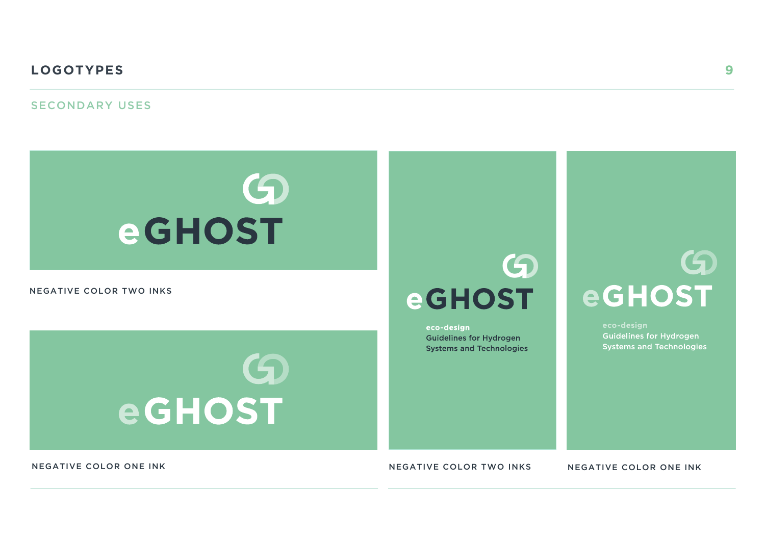#### SECONDARY USES



#### NEGATIVE COLOR TWO INKS



## $\boldsymbol{\Theta}$ **eGHOST**

eco-design **Guidelines for Hydrogen Systems and Technologies** 

# 6 **eGHOST**

**Guidelines for Hydrogen Systems and Technologies** 

NEGATIVE COLOR ONE INK NEGATIVE COLOR TWO INKS NEGATIVE COLOR ONE INK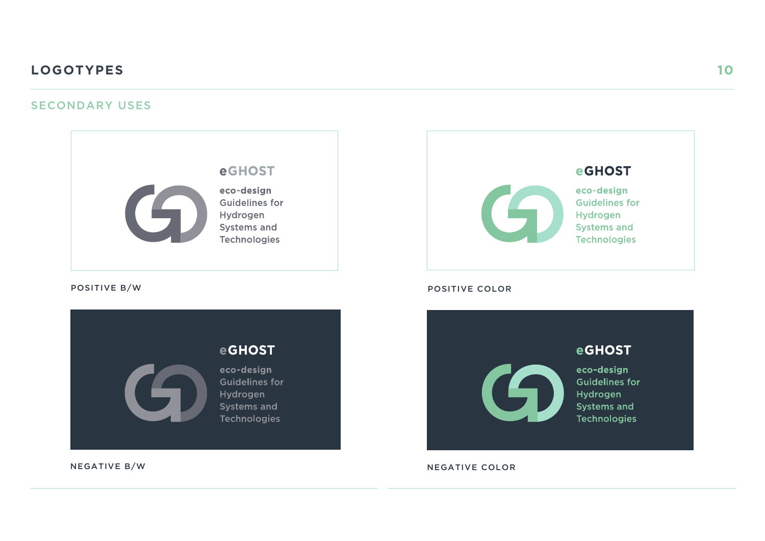#### SECONDARY USES



**10**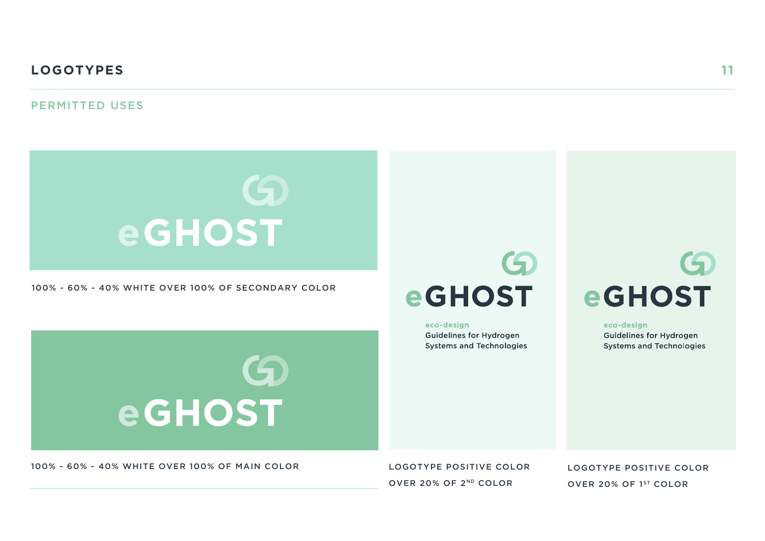#### PERMITTED USES



9

100% - 60% - 40% WHITE OVER 100% OF SECONDARY COLOR



eco-design **Guidelines for Hydrogen Systems and Technologies** 

# $\mathbf G$ **eGHOST**

eco-design **Guidelines for Hydrogen Systems and Technologies** 

100% - 60% - 40% WHITE OVER 100% OF MAIN COLOR

**eGHOST** 

LOGOTYPE POSITIVE COLOR OVER 20% OF 2ND COLOR

LOGOTYPE POSITIVE COLOR OVER 20% OF 1ST COLOR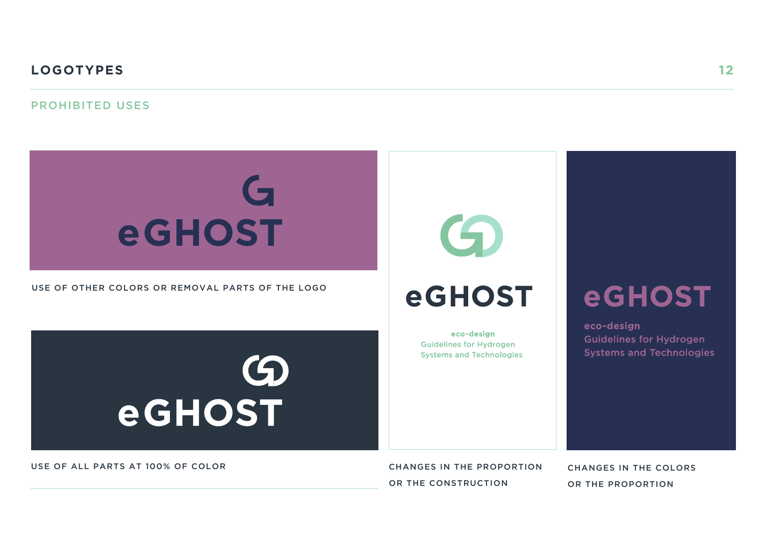#### PROHIBITED USES

# G eGHOST

USE OF OTHER COLORS OR REMOVAL PARTS OF THE LOGO





## **eGHOST**

eco-design **Guidelines for Hydrogen Systems and Technologies** 

## **eGHOST**

eco-design **Guidelines for Hydrogen Systems and Technologies** 

USE OF ALL PARTS AT 100% OF COLOR

CHANGES IN THE PROPORTION OR THE CONSTRUCTION

CHANGES IN THE COLORS OR THE PROPORTION